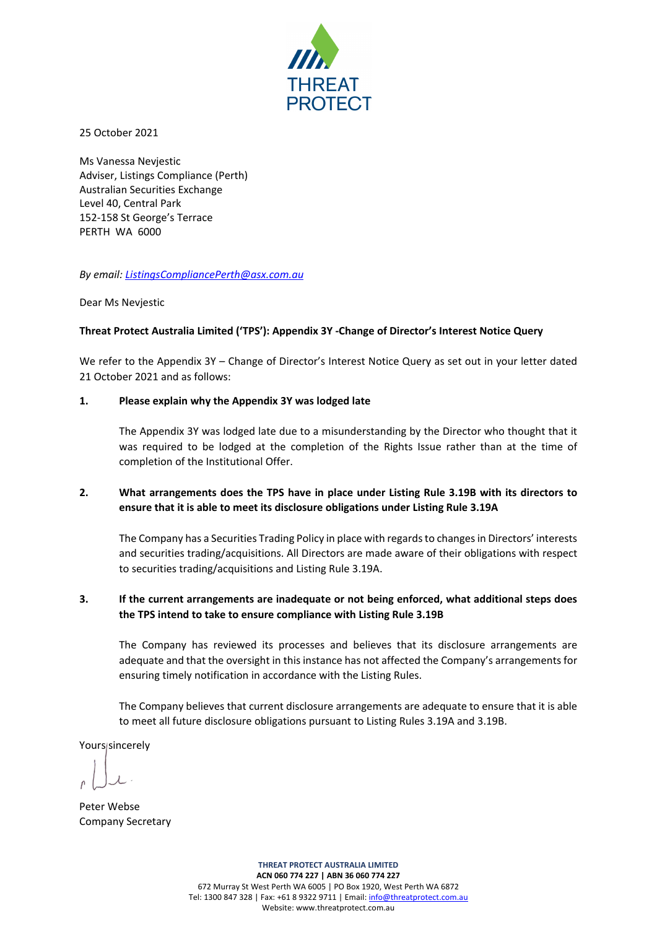

25 October 2021

Ms Vanessa Nevjestic Adviser, Listings Compliance (Perth) Australian Securities Exchange Level 40, Central Park 152-158 St George's Terrace PERTH WA 6000

*By email[: ListingsCompliancePerth@asx.com.au](mailto:ListingsCompliancePerth@asx.com.au)*

Dear Ms Nevjestic

# **Threat Protect Australia Limited ('TPS'): Appendix 3Y -Change of Director's Interest Notice Query**

We refer to the Appendix 3Y – Change of Director's Interest Notice Query as set out in your letter dated 21 October 2021 and as follows:

## **1. Please explain why the Appendix 3Y was lodged late**

The Appendix 3Y was lodged late due to a misunderstanding by the Director who thought that it was required to be lodged at the completion of the Rights Issue rather than at the time of completion of the Institutional Offer.

# **2. What arrangements does the TPS have in place under Listing Rule 3.19B with its directors to ensure that it is able to meet its disclosure obligations under Listing Rule 3.19A**

The Company has a Securities Trading Policy in place with regards to changes in Directors' interests and securities trading/acquisitions. All Directors are made aware of their obligations with respect to securities trading/acquisitions and Listing Rule 3.19A.

# **3. If the current arrangements are inadequate or not being enforced, what additional steps does the TPS intend to take to ensure compliance with Listing Rule 3.19B**

The Company has reviewed its processes and believes that its disclosure arrangements are adequate and that the oversight in this instance has not affected the Company's arrangements for ensuring timely notification in accordance with the Listing Rules.

The Company believes that current disclosure arrangements are adequate to ensure that it is able to meet all future disclosure obligations pursuant to Listing Rules 3.19A and 3.19B.

Yours/sincerely

Peter Webse Company Secretary

**THREAT PROTECT AUSTRALIA LIMITED ACN 060 774 227 | ABN 36 060 774 227** 672 Murray St West Perth WA 6005 | PO Box 1920, West Perth WA 6872 Tel: 1300 847 328 | Fax: +61 8 9322 9711 | Email: info@threatprotect.com.au Website: www.threatprotect.com.au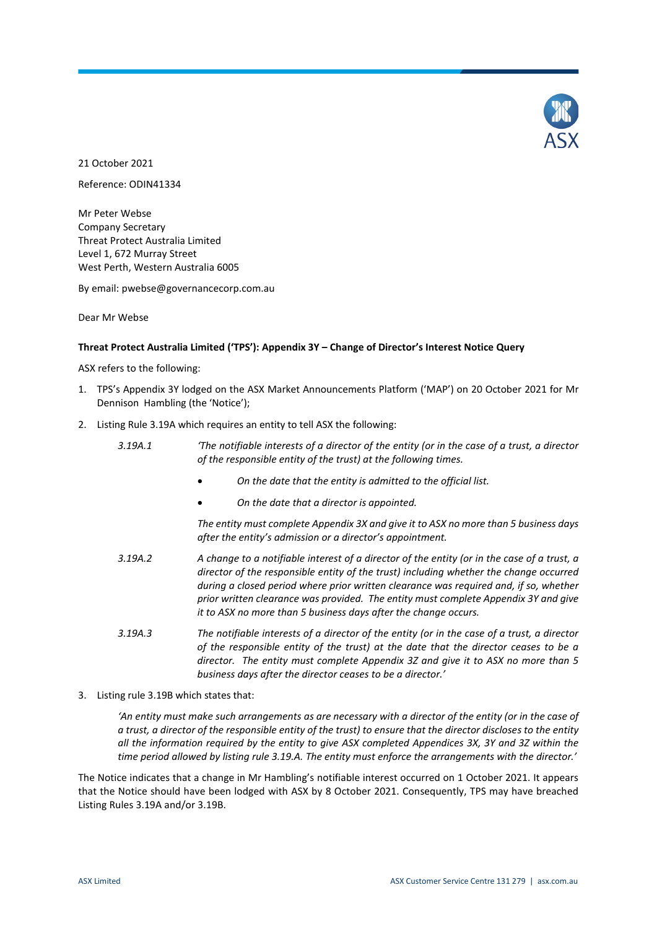

21 October 2021

Reference: ODIN41334

Mr Peter Webse Company Secretary Threat Protect Australia Limited Level 1, 672 Murray Street West Perth, Western Australia 6005

By email: pwebse@governancecorp.com.au

Dear Mr Webse

### **Threat Protect Australia Limited ('TPS'): Appendix 3Y – Change of Director's Interest Notice Query**

ASX refers to the following:

- 1. TPS's Appendix 3Y lodged on the ASX Market Announcements Platform ('MAP') on 20 October 2021 for Mr Dennison Hambling (the 'Notice');
- 2. Listing Rule 3.19A which requires an entity to tell ASX the following:
	- *3.19A.1 'The notifiable interests of a director of the entity (or in the case of a trust, a director of the responsible entity of the trust) at the following times.*
		- *On the date that the entity is admitted to the official list.*
		- *On the date that a director is appointed.*

*The entity must complete Appendix 3X and give it to ASX no more than 5 business days after the entity's admission or a director's appointment.* 

- *3.19A.2 A change to a notifiable interest of a director of the entity (or in the case of a trust, a director of the responsible entity of the trust) including whether the change occurred during a closed period where prior written clearance was required and, if so, whether prior written clearance was provided. The entity must complete Appendix 3Y and give it to ASX no more than 5 business days after the change occurs.*
- *3.19A.3 The notifiable interests of a director of the entity (or in the case of a trust, a director of the responsible entity of the trust) at the date that the director ceases to be a director. The entity must complete Appendix 3Z and give it to ASX no more than 5 business days after the director ceases to be a director.'*
- 3. Listing rule 3.19B which states that:

'An entity must make such arrangements as are necessary with a director of the entity (or in the case of *a trust, a director of the responsible entity of the trust) to ensure that the director discloses to the entity all the information required by the entity to give ASX completed Appendices 3X, 3Y and 3Z within the time period allowed by listing rule 3.19.A. The entity must enforce the arrangements with the director.'*

The Notice indicates that a change in Mr Hambling's notifiable interest occurred on 1 October 2021. It appears that the Notice should have been lodged with ASX by 8 October 2021. Consequently, TPS may have breached Listing Rules 3.19A and/or 3.19B.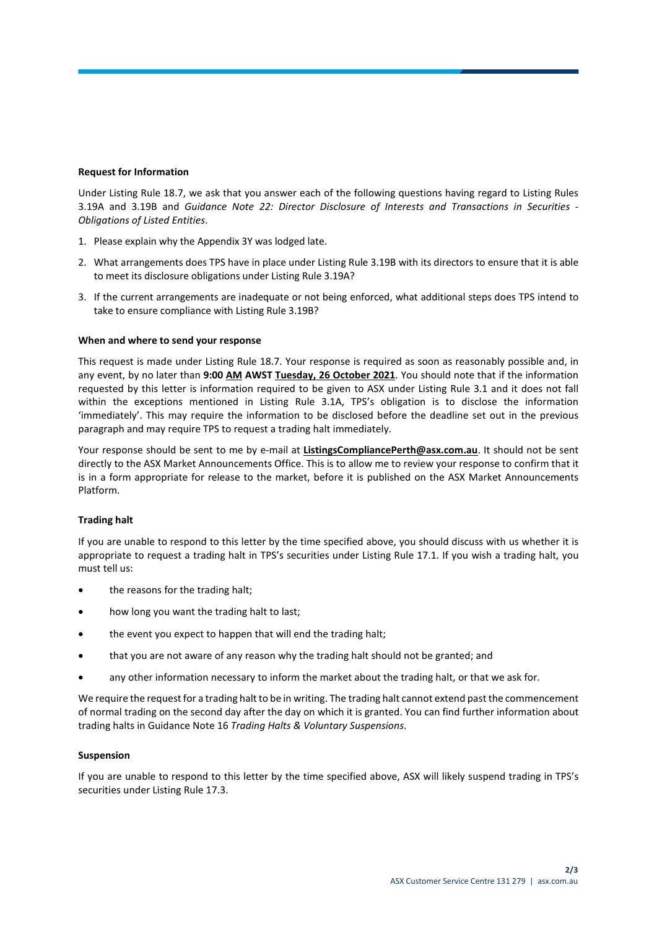#### **Request for Information**

Under Listing Rule 18.7, we ask that you answer each of the following questions having regard to Listing Rules 3.19A and 3.19B and *Guidance Note 22: Director Disclosure of Interests and Transactions in Securities - Obligations of Listed Entities*.

- 1. Please explain why the Appendix 3Y was lodged late.
- 2. What arrangements does TPS have in place under Listing Rule 3.19B with its directors to ensure that it is able to meet its disclosure obligations under Listing Rule 3.19A?
- 3. If the current arrangements are inadequate or not being enforced, what additional steps does TPS intend to take to ensure compliance with Listing Rule 3.19B?

### **When and where to send your response**

This request is made under Listing Rule 18.7. Your response is required as soon as reasonably possible and, in any event, by no later than **9:00 AM AWST Tuesday, 26 October 2021**. You should note that if the information requested by this letter is information required to be given to ASX under Listing Rule 3.1 and it does not fall within the exceptions mentioned in Listing Rule 3.1A, TPS's obligation is to disclose the information 'immediately'. This may require the information to be disclosed before the deadline set out in the previous paragraph and may require TPS to request a trading halt immediately.

Your response should be sent to me by e-mail at **ListingsCompliancePerth@asx.com.au**. It should not be sent directly to the ASX Market Announcements Office. This is to allow me to review your response to confirm that it is in a form appropriate for release to the market, before it is published on the ASX Market Announcements Platform.

### **Trading halt**

If you are unable to respond to this letter by the time specified above, you should discuss with us whether it is appropriate to request a trading halt in TPS's securities under Listing Rule 17.1. If you wish a trading halt, you must tell us:

- the reasons for the trading halt;
- how long you want the trading halt to last;
- the event you expect to happen that will end the trading halt;
- that you are not aware of any reason why the trading halt should not be granted; and
- any other information necessary to inform the market about the trading halt, or that we ask for.

We require the request for a trading halt to be in writing. The trading halt cannot extend past the commencement of normal trading on the second day after the day on which it is granted. You can find further information about trading halts in Guidance Note 16 *Trading Halts & Voluntary Suspensions*.

#### **Suspension**

If you are unable to respond to this letter by the time specified above, ASX will likely suspend trading in TPS's securities under Listing Rule 17.3.